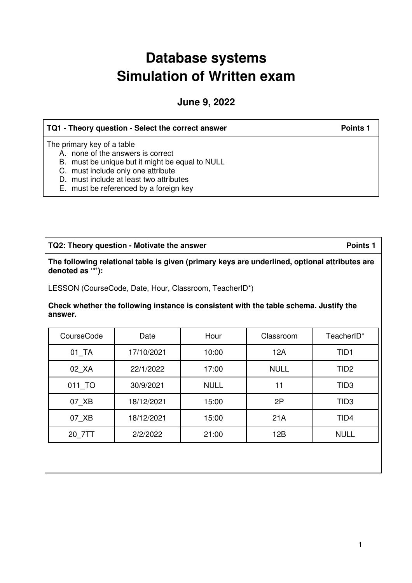# **Database systems Simulation of Written exam**

**June 9, 2022** 

| TQ1 - Theory question - Select the correct answer                                                                                                                                                   | <b>Points 1</b> |
|-----------------------------------------------------------------------------------------------------------------------------------------------------------------------------------------------------|-----------------|
| The primary key of a table<br>A. none of the answers is correct<br>B. must be unique but it might be equal to NULL<br>C. must include only one attribute<br>D. must include at least two attributes |                 |
| E. must be referenced by a foreign key                                                                                                                                                              |                 |

TQ2: Theory question - Motivate the answer **Points 1** Points 1

**The following relational table is given (primary keys are underlined, optional attributes are denoted as '\*'):** 

LESSON (CourseCode, Date, Hour, Classroom, TeacherID\*)

**Check whether the following instance is consistent with the table schema. Justify the answer.**

| CourseCode           | Date       | Hour        | Classroom   | TeacherID*       |
|----------------------|------------|-------------|-------------|------------------|
| $01$ <sub>_</sub> TA | 17/10/2021 | 10:00       | 12A         | TID <sub>1</sub> |
| 02 XA                | 22/1/2022  | 17:00       | <b>NULL</b> | TID <sub>2</sub> |
| 011 TO               | 30/9/2021  | <b>NULL</b> | 11          | TID <sub>3</sub> |
| 07 XB                | 18/12/2021 | 15:00       | 2P          | TID <sub>3</sub> |
| 07 XB                | 18/12/2021 | 15:00       | 21A         | TID4             |
| 20 7TT               | 2/2/2022   | 21:00       | 12B         | <b>NULL</b>      |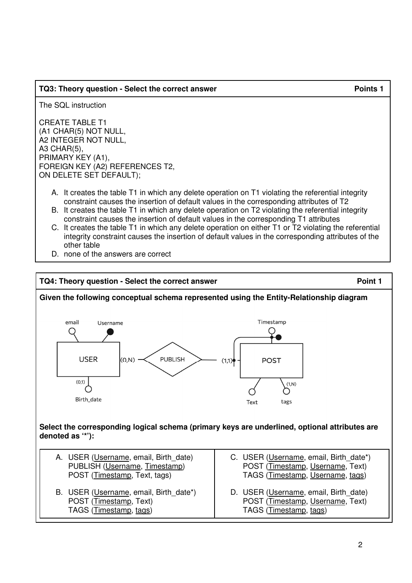#### **TQ3: Theory question - Select the correct answer Points 1** Points 1

The SQL instruction

CREATE TABLE T1 (A1 CHAR(5) NOT NULL, A2 INTEGER NOT NULL, A3 CHAR(5), PRIMARY KEY (A1), FOREIGN KEY (A2) REFERENCES T2, ON DELETE SET DEFAULT);

- A. It creates the table T1 in which any delete operation on T1 violating the referential integrity constraint causes the insertion of default values in the corresponding attributes of T2
- B. It creates the table T1 in which any delete operation on T2 violating the referential integrity constraint causes the insertion of default values in the corresponding T1 attributes
- C. It creates the table T1 in which any delete operation on either T1 or T2 violating the referential integrity constraint causes the insertion of default values in the corresponding attributes of the other table
- D. none of the answers are correct

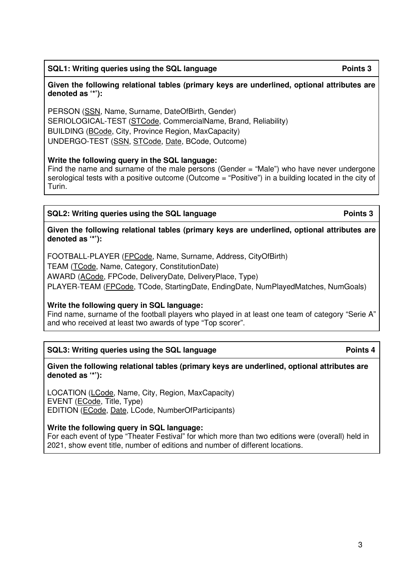3

## SQL1: Writing queries using the SQL language **Points 3 Points 3**

#### **Given the following relational tables (primary keys are underlined, optional attributes are denoted as '\*'):**

PERSON (SSN, Name, Surname, DateOfBirth, Gender) SERIOLOGICAL-TEST (STCode, CommercialName, Brand, Reliability) BUILDING (BCode, City, Province Region, MaxCapacity) UNDERGO-TEST (SSN, STCode, Date, BCode, Outcome)

## **Write the following query in the SQL language:**

Find the name and surname of the male persons (Gender = "Male") who have never undergone serological tests with a positive outcome (Outcome = "Positive") in a building located in the city of Turin.

## **SQL2:** Writing queries using the SQL language **Points 3**

**Given the following relational tables (primary keys are underlined, optional attributes are denoted as '\*'):** 

FOOTBALL-PLAYER (FPCode, Name, Surname, Address, CityOfBirth)

TEAM (TCode, Name, Category, ConstitutionDate)

AWARD (ACode, FPCode, DeliveryDate, DeliveryPlace, Type)

PLAYER-TEAM (FPCode, TCode, StartingDate, EndingDate, NumPlayedMatches, NumGoals)

## **Write the following query in SQL language:**

Find name, surname of the football players who played in at least one team of category "Serie A" and who received at least two awards of type "Top scorer".

## **SQL3:** Writing queries using the SQL language **Points 4 Points 4**

**Given the following relational tables (primary keys are underlined, optional attributes are denoted as '\*'):** 

LOCATION (LCode, Name, City, Region, MaxCapacity) EVENT (ECode, Title, Type) EDITION (ECode, Date, LCode, NumberOfParticipants)

**Write the following query in SQL language:** 

For each event of type "Theater Festival" for which more than two editions were (overall) held in 2021, show event title, number of editions and number of different locations.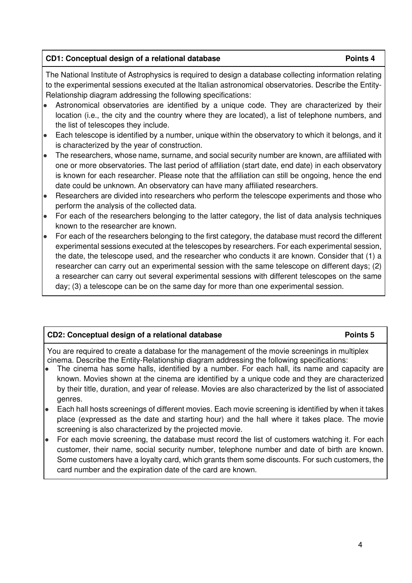#### **CD1:** Conceptual design of a relational database **Points 4** Points 4

The National Institute of Astrophysics is required to design a database collecting information relating to the experimental sessions executed at the Italian astronomical observatories. Describe the Entity-Relationship diagram addressing the following specifications:

- Astronomical observatories are identified by a unique code. They are characterized by their location (i.e., the city and the country where they are located), a list of telephone numbers, and the list of telescopes they include.
- Each telescope is identified by a number, unique within the observatory to which it belongs, and it is characterized by the year of construction.
- The researchers, whose name, surname, and social security number are known, are affiliated with one or more observatories. The last period of affiliation (start date, end date) in each observatory is known for each researcher. Please note that the affiliation can still be ongoing, hence the end date could be unknown. An observatory can have many affiliated researchers.
- Researchers are divided into researchers who perform the telescope experiments and those who perform the analysis of the collected data.
- For each of the researchers belonging to the latter category, the list of data analysis techniques known to the researcher are known.
- For each of the researchers belonging to the first category, the database must record the different experimental sessions executed at the telescopes by researchers. For each experimental session, the date, the telescope used, and the researcher who conducts it are known. Consider that (1) a researcher can carry out an experimental session with the same telescope on different days; (2) a researcher can carry out several experimental sessions with different telescopes on the same day; (3) a telescope can be on the same day for more than one experimental session.

### **CD2:** Conceptual design of a relational database **Points 5** Points 5

You are required to create a database for the management of the movie screenings in multiplex cinema. Describe the Entity-Relationship diagram addressing the following specifications:

- The cinema has some halls, identified by a number. For each hall, its name and capacity are known. Movies shown at the cinema are identified by a unique code and they are characterized by their title, duration, and year of release. Movies are also characterized by the list of associated genres.
- Each hall hosts screenings of different movies. Each movie screening is identified by when it takes place (expressed as the date and starting hour) and the hall where it takes place. The movie screening is also characterized by the projected movie.
- For each movie screening, the database must record the list of customers watching it. For each customer, their name, social security number, telephone number and date of birth are known. Some customers have a loyalty card, which grants them some discounts. For such customers, the card number and the expiration date of the card are known.